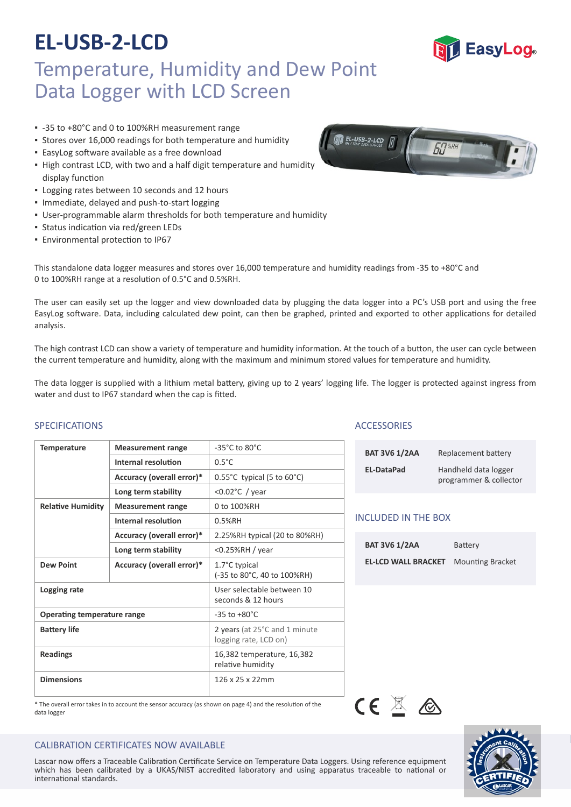### Temperature, Humidity and Dew Point Data Logger with LCD Screen

- -35 to +80°C and 0 to 100%RH measurement range
- Stores over 16,000 readings for both temperature and humidity
- **EasyLog software available as a free download**
- **.** High contrast LCD, with two and a half digit temperature and humidity display function
- Logging rates between 10 seconds and 12 hours
- Immediate, delayed and push‐to‐start logging
- User-programmable alarm thresholds for both temperature and humidity
- **Status indication via red/green LEDs**
- **Environmental protection to IP67**

This standalone data logger measures and stores over 16,000 temperature and humidity readings from -35 to +80°C and 0 to 100%RH range at a resolution of 0.5°C and 0.5%RH.

The user can easily set up the logger and view downloaded data by plugging the data logger into a PC's USB port and using the free EasyLog software. Data, including calculated dew point, can then be graphed, printed and exported to other applications for detailed analysis.

The high contrast LCD can show a variety of temperature and humidity information. At the touch of a button, the user can cycle between the current temperature and humidity, along with the maximum and minimum stored values for temperature and humidity.

The data logger is supplied with a lithium metal battery, giving up to 2 years' logging life. The logger is protected against ingress from water and dust to IP67 standard when the cap is fitted.

#### SPECIFICATIONS ACCESSORIES

| <b>Temperature</b>                 | <b>Measurement range</b>  | $-35^{\circ}$ C to 80 $^{\circ}$ C                     |
|------------------------------------|---------------------------|--------------------------------------------------------|
|                                    | Internal resolution       | $0.5^{\circ}$ C                                        |
|                                    | Accuracy (overall error)* | $0.55^{\circ}$ C typical (5 to 60 $^{\circ}$ C)        |
|                                    | Long term stability       | <0.02 $\degree$ C / year                               |
| <b>Relative Humidity</b>           | <b>Measurement range</b>  | 0 to 100%RH                                            |
|                                    | Internal resolution       | 0.5%RH                                                 |
|                                    | Accuracy (overall error)* | 2.25%RH typical (20 to 80%RH)                          |
|                                    | Long term stability       | $<$ 0.25%RH / year                                     |
| <b>Dew Point</b>                   | Accuracy (overall error)* | 1.7°C typical<br>(-35 to 80°C, 40 to 100%RH)           |
| Logging rate                       |                           | User selectable between 10<br>seconds & 12 hours       |
| <b>Operating temperature range</b> |                           | $-35$ to $+80^{\circ}$ C                               |
| <b>Battery life</b>                |                           | 2 years (at 25°C and 1 minute<br>logging rate, LCD on) |
| <b>Readings</b>                    |                           | 16,382 temperature, 16,382<br>relative humidity        |
| <b>Dimensions</b>                  |                           | $126 \times 25 \times 22$ mm                           |

#### \* The overall error takes in to account the sensor accuracy (as shown on page 4) and the resolution of the data logger

#### CALIBRATION CERTIFICATES NOW AVAILABLE

Lascar how oners a maceasic canistation certificate service on remperature bata coggers. Osing reference equipment<br>which has been calibrated by a UKAS/NIST accredited laboratory and using apparatus traceable to national or Lascar now offers a Traceable Calibration Certificate Service on Temperature Data Loggers. Using reference equipment international standards.

| <b>BAT 3V6 1/2AA</b> | Replacement battery                            |
|----------------------|------------------------------------------------|
| EL-DataPad           | Handheld data logger<br>programmer & collector |

#### INCLUDED IN THE BOX

| <b>BAT 3V6 1/2AA</b>                        | Battery |
|---------------------------------------------|---------|
| <b>EL-LCD WALL BRACKET</b> Mounting Bracket |         |







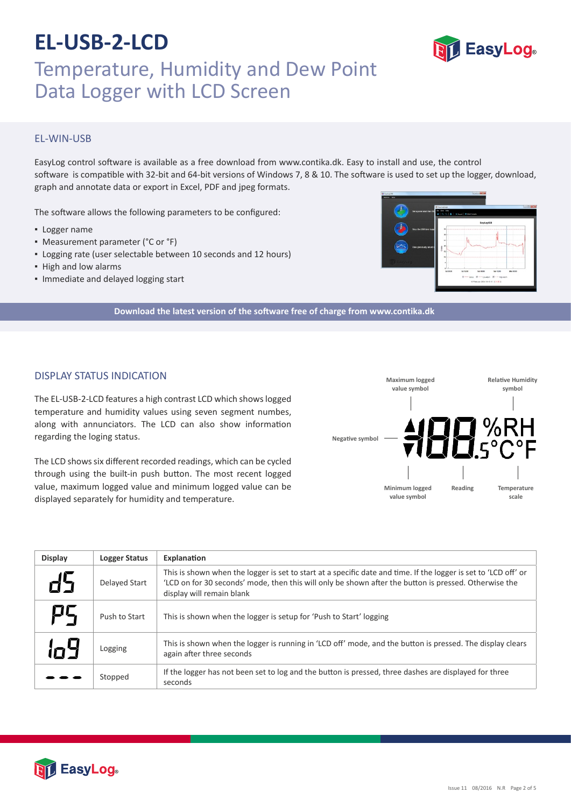

### EL‐WIN‐USB

EasyLog control software is available as a free download from www.contika.dk. Easy to install and use, the control software is compatible with 32-bit and 64-bit versions of Windows 7, 8 & 10. The software is used to set up the logger, download, graph and annotate data or export in Excel, PDF and jpeg formats.

The software allows the following parameters to be configured:

- Logger name
- Measurement parameter (°C or °F)
- Logging rate (user selectable between 10 seconds and 12 hours)
- High and low alarms
- Immediate and delayed logging start



**Download the latest version of the so�ware free of charge from www.contika.dk**

#### DISPLAY STATUS INDICATION

The EL‐USB‐2‐LCD features a high contrast LCD which shows logged temperature and humidity values using seven segment numbes, along with annunciators. The LCD can also show information regarding the loging status.

The LCD shows six different recorded readings, which can be cycled through using the built-in push button. The most recent logged value, maximum logged value and minimum logged value can be displayed separately for humidity and temperature.



| <b>Display</b> | <b>Logger Status</b> | Explanation                                                                                                                                                                                                                                           |
|----------------|----------------------|-------------------------------------------------------------------------------------------------------------------------------------------------------------------------------------------------------------------------------------------------------|
|                | <b>Delayed Start</b> | This is shown when the logger is set to start at a specific date and time. If the logger is set to 'LCD off' or<br>'LCD on for 30 seconds' mode, then this will only be shown after the button is pressed. Otherwise the<br>display will remain blank |
| Ρ5             | Push to Start        | This is shown when the logger is setup for 'Push to Start' logging                                                                                                                                                                                    |
| 'n9            | Logging              | This is shown when the logger is running in 'LCD off' mode, and the button is pressed. The display clears<br>again after three seconds                                                                                                                |
|                | Stopped              | If the logger has not been set to log and the button is pressed, three dashes are displayed for three<br>seconds                                                                                                                                      |



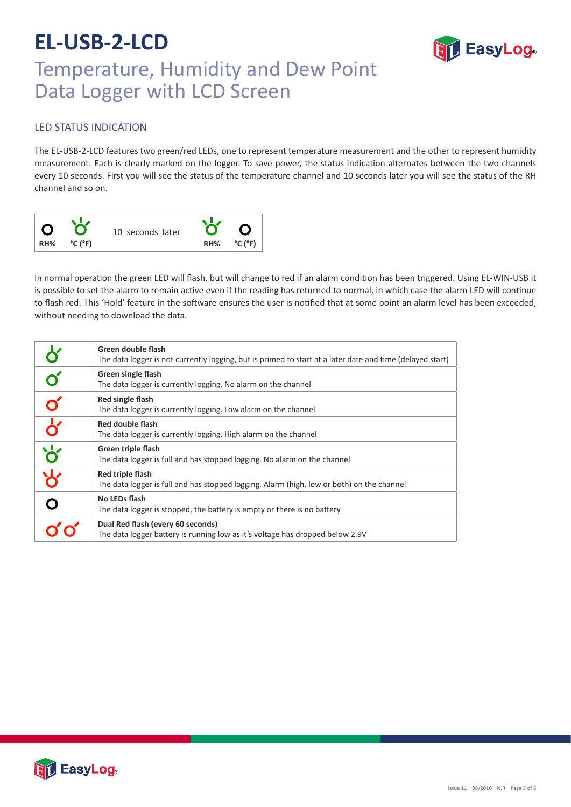

# Temperature, Humidity and Dew Point Data Logger with LCD Screen

### LED STATUS INDICATION

The EL‐USB‐2‐LCD features two green/red LEDs, one to represent temperature measurement and the other to represent humidity measurement. Each is clearly marked on the logger. To save power, the status indication alternates between the two channels every 10 seconds. First you will see the status of the temperature channel and 10 seconds later you will see the status of the RH channel and so on.



In normal operation the green LED will flash, but will change to red if an alarm condition has been triggered. Using EL-WIN-USB it is possible to set the alarm to remain active even if the reading has returned to normal, in which case the alarm LED will continue to flash red. This 'Hold' feature in the software ensures the user is notified that at some point an alarm level has been exceeded, without needing to download the data.

|                                                     | Green double flash<br>The data logger is not currently logging, but is primed to start at a later date and time (delayed start) |  |  |
|-----------------------------------------------------|---------------------------------------------------------------------------------------------------------------------------------|--|--|
|                                                     | Green single flash<br>The data logger is currently logging. No alarm on the channel                                             |  |  |
|                                                     | Red single flash<br>The data logger is currently logging. Low alarm on the channel                                              |  |  |
| $\overline{\mathbf{b}}$                             | Red double flash<br>The data logger is currently logging. High alarm on the channel                                             |  |  |
| $\frac{1}{\sqrt{2}}\left \frac{1}{\sqrt{2}}\right $ | Green triple flash<br>The data logger is full and has stopped logging. No alarm on the channel                                  |  |  |
|                                                     | Red triple flash<br>The data logger is full and has stopped logging. Alarm (high, low or both) on the channel                   |  |  |
|                                                     | No LEDs flash<br>The data logger is stopped, the battery is empty or there is no battery                                        |  |  |
|                                                     | Dual Red flash (every 60 seconds)<br>The data logger battery is running low as it's voltage has dropped below 2.9V              |  |  |

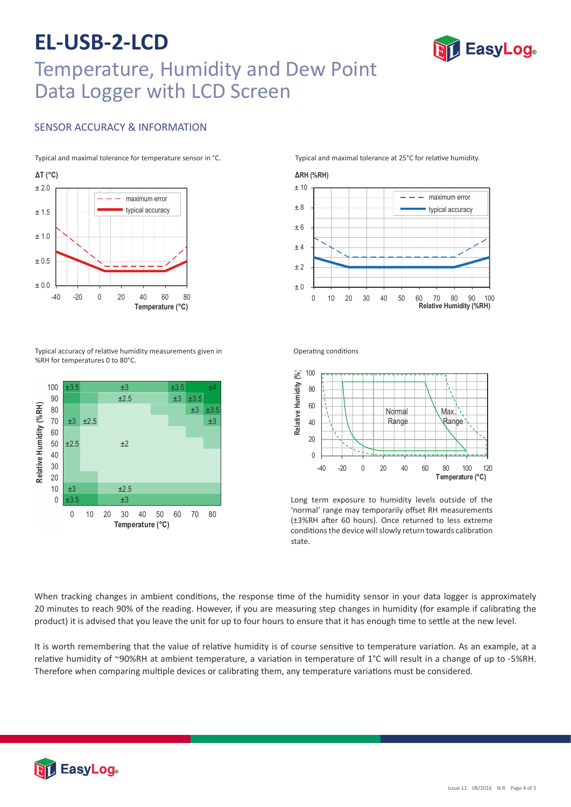### **EL-USB-2-LCD** Temperature, Humidity and Dew Point Data Logger with LCD Screen

### SENSOR ACCURACY & INFORMATION

Typical and maximal tolerance for temperature sensor in °C.



Typical accuracy of relative humidity measurements given in %RH for temperatures 0 to 80°C.



Typical and maximal tolerance at 25°C for relative humidity.

**TEasyLog** 





Operating conditions



Long term exposure to humidity levels outside of the 'normal' range may temporarily offset RH measurements (±3%RH after 60 hours). Once returned to less extreme conditions the device will slowly return towards calibration state.

When tracking changes in ambient conditions, the response time of the humidity sensor in your data logger is approximately 20 minutes to reach 90% of the reading. However, if you are measuring step changes in humidity (for example if calibrating the product) it is advised that you leave the unit for up to four hours to ensure that it has enough time to settle at the new level.

It is worth remembering that the value of relative humidity is of course sensitive to temperature variation. As an example, at a relative humidity of ~90%RH at ambient temperature, a variation in temperature of 1°C will result in a change of up to -5%RH. Therefore when comparing multiple devices or calibrating them, any temperature variations must be considered.